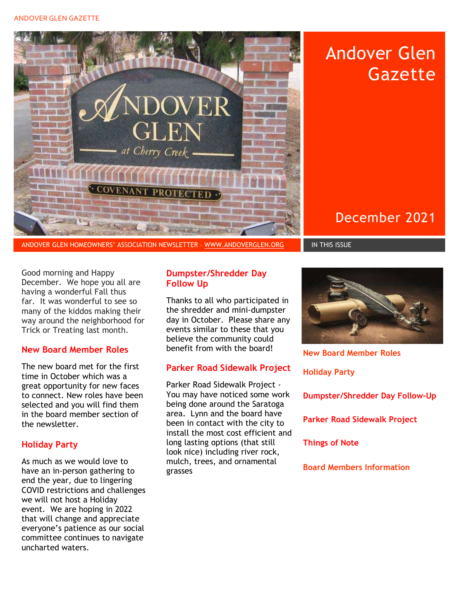### ANDOVER GLEN GAZETTE



# Andover Glen Gazette

December 2021

Good morning and Happy December. We hope you all are having a wonderful Fall thus far. It was wonderful to see so many of the kiddos making their way around the neighborhood for Trick or Treating last month.

# New Board Member Roles

The new board met for the first time in October which was a great opportunity for new faces to connect. New roles have been selected and you will find them in the board member section of the newsletter.

# Holiday Party

As much as we would love to have an in-person gathering to end the year, due to lingering COVID restrictions and challenges we will not host a Holiday event. We are hoping in 2022 that will change and appreciate everyone's patience as our social committee continues to navigate uncharted waters.

# Dumpster/Shredder Day Follow Up

Thanks to all who participated in the shredder and mini-dumpster day in October. Please share any events similar to these that you believe the community could benefit from with the board!

# Parker Road Sidewalk Project

Parker Road Sidewalk Project - You may have noticed some work being done around the Saratoga area. Lynn and the board have been in contact with the city to install the most cost efficient and long lasting options (that still look nice) including river rock, mulch, trees, and ornamental grasses



New Board Member Roles Holiday Party Dumpster/Shredder Day Follow-Up

Parker Road Sidewalk Project

Things of Note

Board Members Information